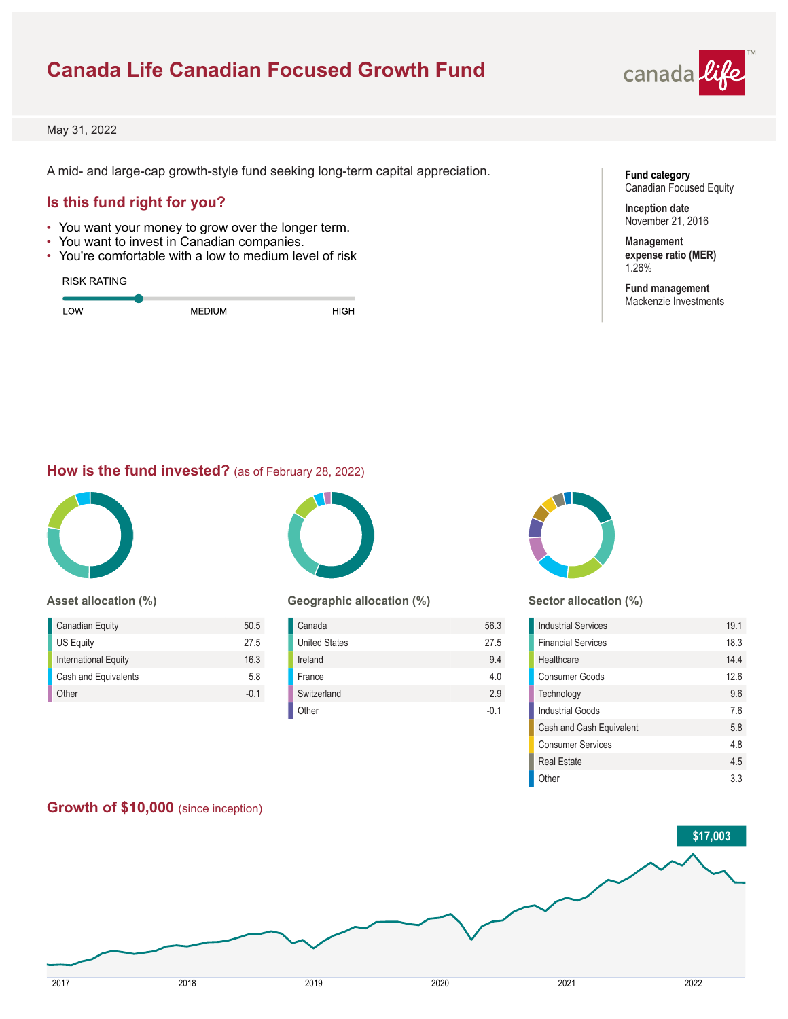# **Canada Life Canadian Focused Growth Fund**



May 31, 2022

A mid- and large-cap growth-style fund seeking long-term capital appreciation.

## **Is this fund right for you?**

- You want your money to grow over the longer term.
- You want to invest in Canadian companies.
- You're comfortable with a low to medium level of risk

#### RISK RATING

| OW | <b>MEDIUM</b> | יפוד |
|----|---------------|------|
|    |               |      |

**Fund category** Canadian Focused Equity

**Inception date** November 21, 2016

**Management expense ratio (MER)** 1.26%

**Fund management** Mackenzie Investments

### **How is the fund invested?** (as of February 28, 2022)



### **Asset allocation (%)**

| <b>Canadian Equity</b> | 50.5   |
|------------------------|--------|
| US Equity              | 27.5   |
| International Equity   | 16.3   |
| Cash and Equivalents   | 58     |
| Other                  | $-0.1$ |



### **Geographic allocation (%)**

| Canada               | 56.3 |
|----------------------|------|
| <b>United States</b> | 27.5 |
| Ireland              | 9.4  |
| France               | 4.0  |
| Switzerland          | 2.9  |
| Other                | -0.1 |



#### **Sector allocation (%)**

| <b>Industrial Services</b> | 19.1 |
|----------------------------|------|
| <b>Financial Services</b>  | 18.3 |
| Healthcare                 | 14.4 |
| Consumer Goods             | 12.6 |
| Technology                 | 9.6  |
| <b>Industrial Goods</b>    | 7.6  |
| Cash and Cash Equivalent   | 5.8  |
| <b>Consumer Services</b>   | 4.8  |
| <b>Real Estate</b>         | 45   |
| Other                      | 33   |